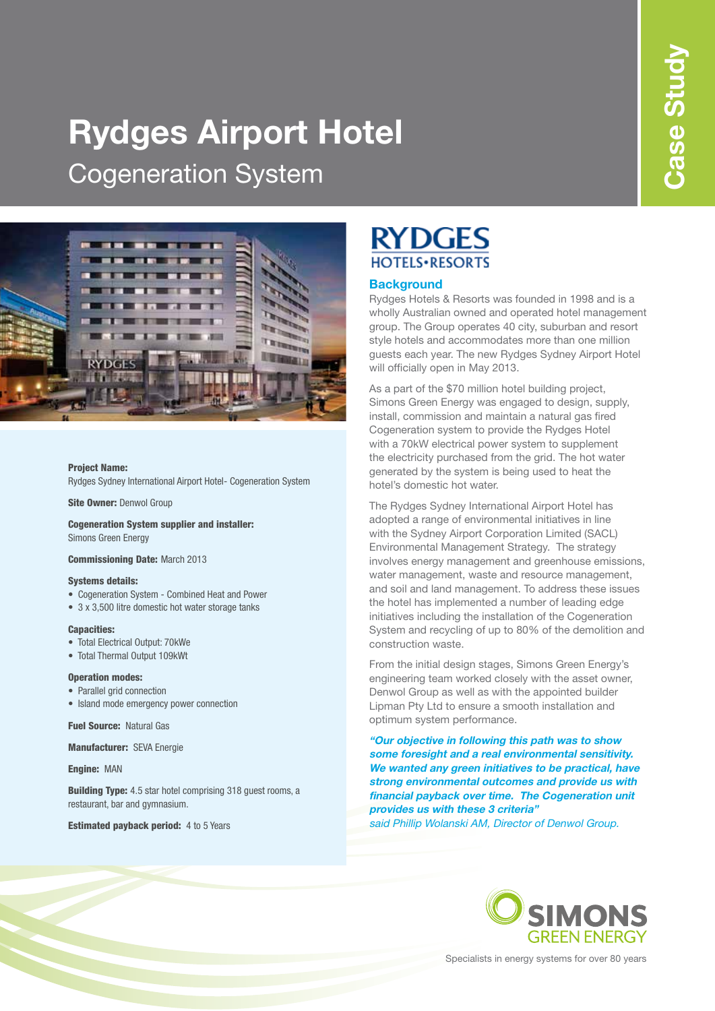# **Rydges Airport Hotel**  Cogeneration System



### Project Name:

Rydges Sydney International Airport Hotel- Cogeneration System

Site Owner: Denwol Group

Cogeneration System supplier and installer: Simons Green Energy

Commissioning Date: March 2013

#### Systems details:

- Cogeneration System Combined Heat and Power
- 3 x 3,500 litre domestic hot water storage tanks

#### Capacities:

- Total Electrical Output: 70kWe
- Total Thermal Output 109kWt

### Operation modes:

- Parallel grid connection
- Island mode emergency power connection

Fuel Source: Natural Gas

Manufacturer: SEVA Energie

Engine: MAN

**Building Type:** 4.5 star hotel comprising 318 guest rooms, a restaurant, bar and gymnasium.

**Estimated payback period:** 4 to 5 Years

# **RYDGES HOTELS** · RESORTS

### **Background**

Rydges Hotels & Resorts was founded in 1998 and is a wholly Australian owned and operated hotel management group. The Group operates 40 city, suburban and resort style hotels and accommodates more than one million guests each year. The new Rydges Sydney Airport Hotel will officially open in May 2013.

As a part of the \$70 million hotel building project, Simons Green Energy was engaged to design, supply, install, commission and maintain a natural gas fired Cogeneration system to provide the Rydges Hotel with a 70kW electrical power system to supplement the electricity purchased from the grid. The hot water generated by the system is being used to heat the hotel's domestic hot water.

The Rydges Sydney International Airport Hotel has adopted a range of environmental initiatives in line with the Sydney Airport Corporation Limited (SACL) Environmental Management Strategy. The strategy involves energy management and greenhouse emissions, water management, waste and resource management, and soil and land management. To address these issues the hotel has implemented a number of leading edge initiatives including the installation of the Cogeneration System and recycling of up to 80% of the demolition and construction waste.

From the initial design stages, Simons Green Energy's engineering team worked closely with the asset owner, Denwol Group as well as with the appointed builder Lipman Pty Ltd to ensure a smooth installation and optimum system performance.

**"Our objective in following this path was to show some foresight and a real environmental sensitivity. We wanted any green initiatives to be practical, have strong environmental outcomes and provide us with financial payback over time. The Cogeneration unit provides us with these 3 criteria"** said Phillip Wolanski AM, Director of Denwol Group.



Specialists in energy systems for over 80 years